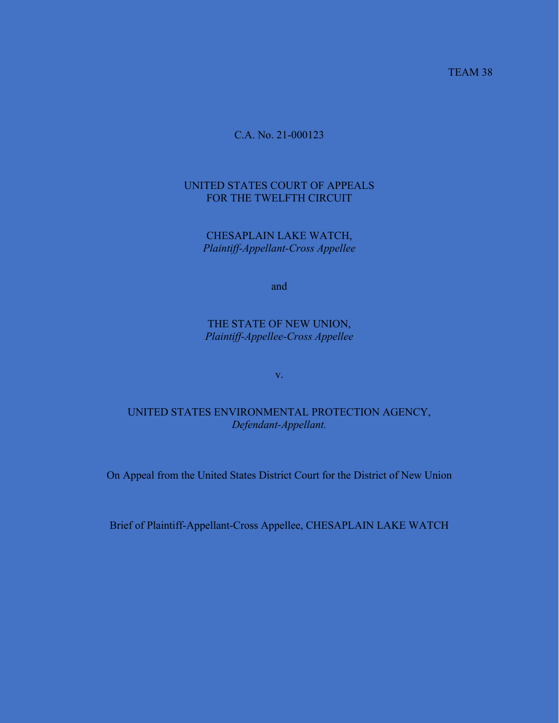TEAM 38

## C.A. No. 21-000123

## UNITED STATES COURT OF APPEALS FOR THE TWELFTH CIRCUIT

CHESAPLAIN LAKE WATCH, *Plaintiff-Appellant-Cross Appellee*

and

THE STATE OF NEW UNION, *Plaintiff-Appellee-Cross Appellee*

v.

## UNITED STATES ENVIRONMENTAL PROTECTION AGENCY, *Defendant-Appellant.*

On Appeal from the United States District Court for the District of New Union

Brief of Plaintiff-Appellant-Cross Appellee, CHESAPLAIN LAKE WATCH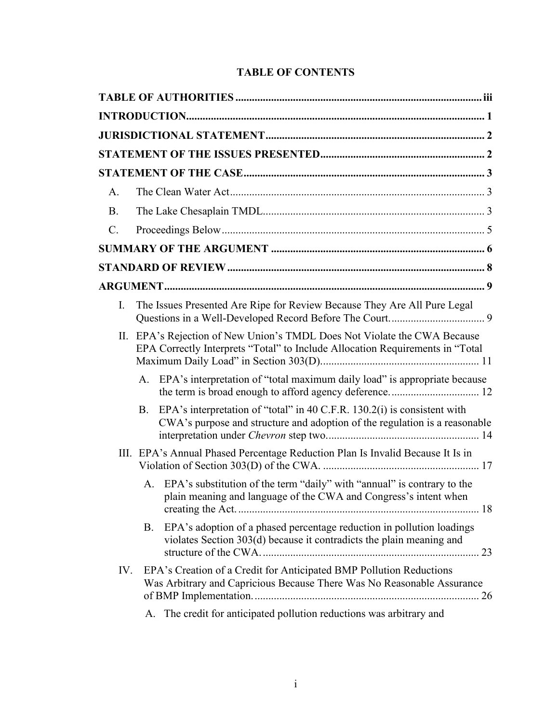## **TABLE OF CONTENTS**

| A.          |                                                                                                                                                                     |
|-------------|---------------------------------------------------------------------------------------------------------------------------------------------------------------------|
| <b>B.</b>   |                                                                                                                                                                     |
| $C_{\cdot}$ |                                                                                                                                                                     |
|             |                                                                                                                                                                     |
|             |                                                                                                                                                                     |
|             |                                                                                                                                                                     |
| I.          | The Issues Presented Are Ripe for Review Because They Are All Pure Legal                                                                                            |
|             | II. EPA's Rejection of New Union's TMDL Does Not Violate the CWA Because<br>EPA Correctly Interprets "Total" to Include Allocation Requirements in "Total           |
|             | EPA's interpretation of "total maximum daily load" is appropriate because<br>А.                                                                                     |
|             | EPA's interpretation of "total" in 40 C.F.R. 130.2(i) is consistent with<br><b>B.</b><br>CWA's purpose and structure and adoption of the regulation is a reasonable |
|             | III. EPA's Annual Phased Percentage Reduction Plan Is Invalid Because It Is in                                                                                      |
|             | EPA's substitution of the term "daily" with "annual" is contrary to the<br>A.<br>plain meaning and language of the CWA and Congress's intent when                   |
|             | EPA's adoption of a phased percentage reduction in pollution loadings<br><b>B.</b><br>violates Section 303(d) because it contradicts the plain meaning and          |
| IV.         | EPA's Creation of a Credit for Anticipated BMP Pollution Reductions<br>Was Arbitrary and Capricious Because There Was No Reasonable Assurance                       |
|             | The credit for anticipated pollution reductions was arbitrary and<br>A.                                                                                             |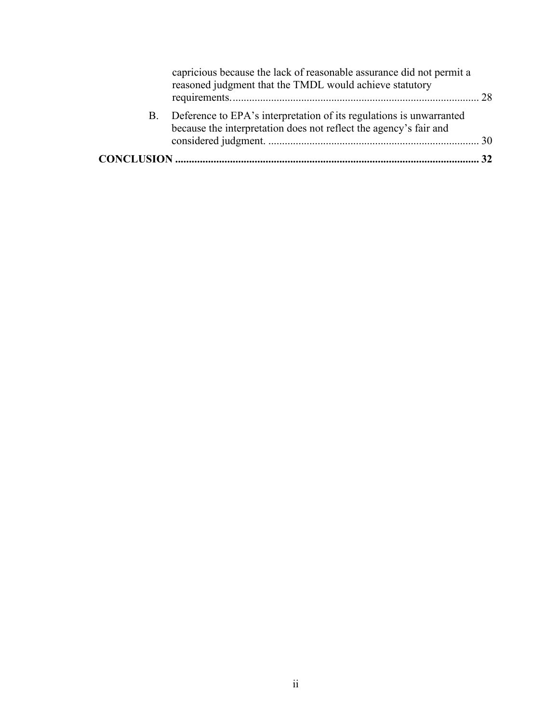| capricious because the lack of reasonable assurance did not permit a<br>reasoned judgment that the TMDL would achieve statutory             |  |
|---------------------------------------------------------------------------------------------------------------------------------------------|--|
| B. Deference to EPA's interpretation of its regulations is unwarranted<br>because the interpretation does not reflect the agency's fair and |  |
|                                                                                                                                             |  |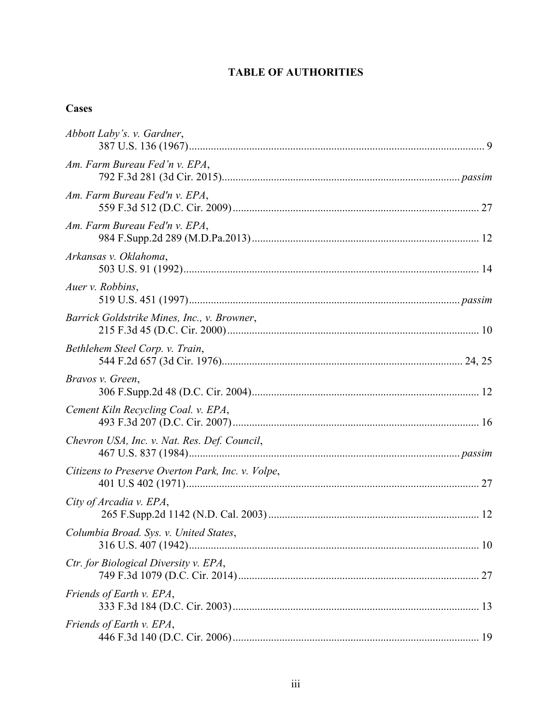# **TABLE OF AUTHORITIES**

# **Cases**

| Abbott Laby's. v. Gardner,                        |
|---------------------------------------------------|
| Am. Farm Bureau Fed'n v. EPA,                     |
| Am. Farm Bureau Fed'n v. EPA,                     |
| Am. Farm Bureau Fed'n v. EPA,                     |
| Arkansas v. Oklahoma,                             |
| Auer v. Robbins,                                  |
| Barrick Goldstrike Mines, Inc., v. Browner,       |
| Bethlehem Steel Corp. v. Train,                   |
| Bravos v. Green,                                  |
| Cement Kiln Recycling Coal. v. EPA,               |
| Chevron USA, Inc. v. Nat. Res. Def. Council,      |
| Citizens to Preserve Overton Park, Inc. v. Volpe, |
| City of Arcadia v. EPA,                           |
| Columbia Broad. Sys. v. United States,            |
| Ctr. for Biological Diversity v. EPA,             |
| Friends of Earth v. EPA,                          |
| Friends of Earth v. EPA,                          |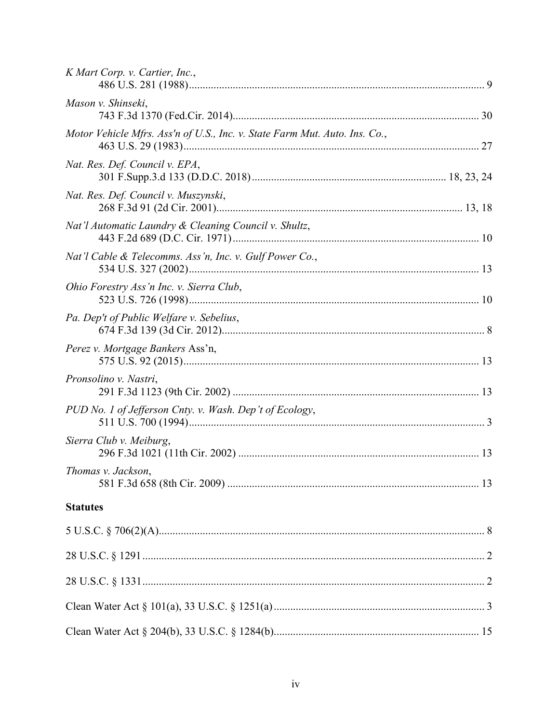| K Mart Corp. v. Cartier, Inc.,                                             |  |
|----------------------------------------------------------------------------|--|
| Mason v. Shinseki,                                                         |  |
| Motor Vehicle Mfrs. Ass'n of U.S., Inc. v. State Farm Mut. Auto. Ins. Co., |  |
| Nat. Res. Def. Council v. EPA,                                             |  |
| Nat. Res. Def. Council v. Muszynski,                                       |  |
| Nat'l Automatic Laundry & Cleaning Council v. Shultz,                      |  |
| Nat'l Cable & Telecomms. Ass'n, Inc. v. Gulf Power Co.,                    |  |
| Ohio Forestry Ass'n Inc. v. Sierra Club,                                   |  |
| Pa. Dep't of Public Welfare v. Sebelius,                                   |  |
| Perez v. Mortgage Bankers Ass'n,                                           |  |
| Pronsolino v. Nastri,                                                      |  |
| PUD No. 1 of Jefferson Cnty. v. Wash. Dep't of Ecology,                    |  |
| Sierra Club v. Meiburg,                                                    |  |
| Thomas v. Jackson,                                                         |  |
| <b>Statutes</b>                                                            |  |
|                                                                            |  |
|                                                                            |  |
|                                                                            |  |
|                                                                            |  |
|                                                                            |  |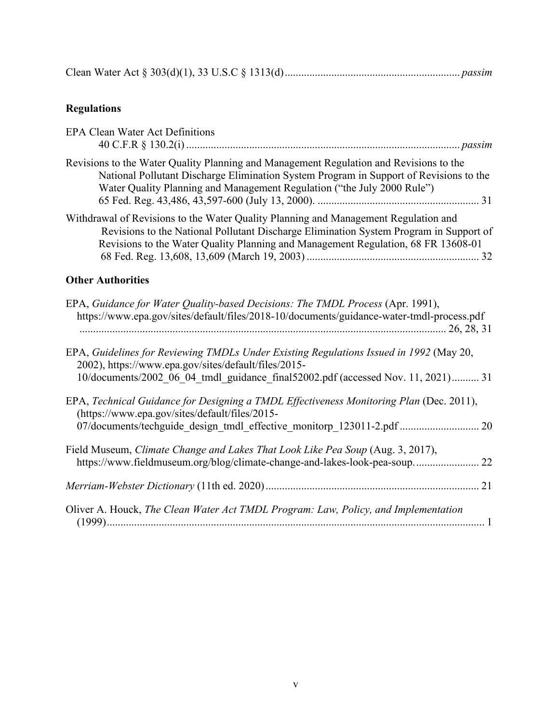|--|--|

# **Regulations**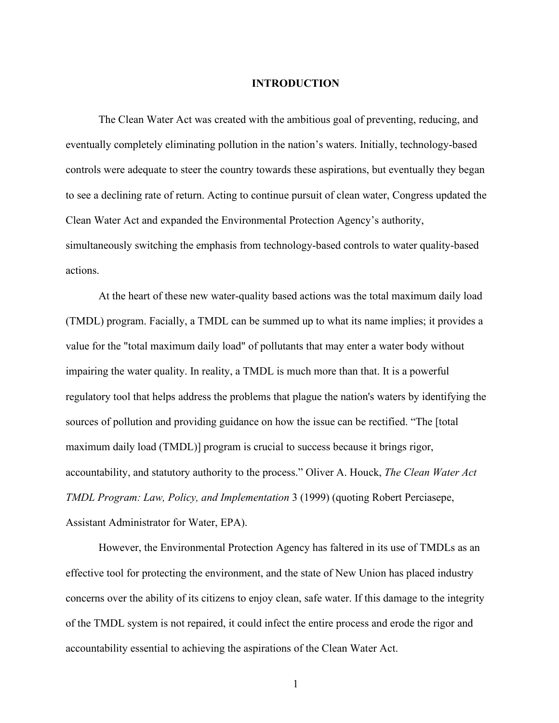#### **INTRODUCTION**

The Clean Water Act was created with the ambitious goal of preventing, reducing, and eventually completely eliminating pollution in the nation's waters. Initially, technology-based controls were adequate to steer the country towards these aspirations, but eventually they began to see a declining rate of return. Acting to continue pursuit of clean water, Congress updated the Clean Water Act and expanded the Environmental Protection Agency's authority, simultaneously switching the emphasis from technology-based controls to water quality-based actions.

At the heart of these new water-quality based actions was the total maximum daily load (TMDL) program. Facially, a TMDL can be summed up to what its name implies; it provides a value for the "total maximum daily load" of pollutants that may enter a water body without impairing the water quality. In reality, a TMDL is much more than that. It is a powerful regulatory tool that helps address the problems that plague the nation's waters by identifying the sources of pollution and providing guidance on how the issue can be rectified. "The [total maximum daily load (TMDL)] program is crucial to success because it brings rigor, accountability, and statutory authority to the process." Oliver A. Houck, *The Clean Water Act TMDL Program: Law, Policy, and Implementation* 3 (1999) (quoting Robert Perciasepe, Assistant Administrator for Water, EPA).

However, the Environmental Protection Agency has faltered in its use of TMDLs as an effective tool for protecting the environment, and the state of New Union has placed industry concerns over the ability of its citizens to enjoy clean, safe water. If this damage to the integrity of the TMDL system is not repaired, it could infect the entire process and erode the rigor and accountability essential to achieving the aspirations of the Clean Water Act.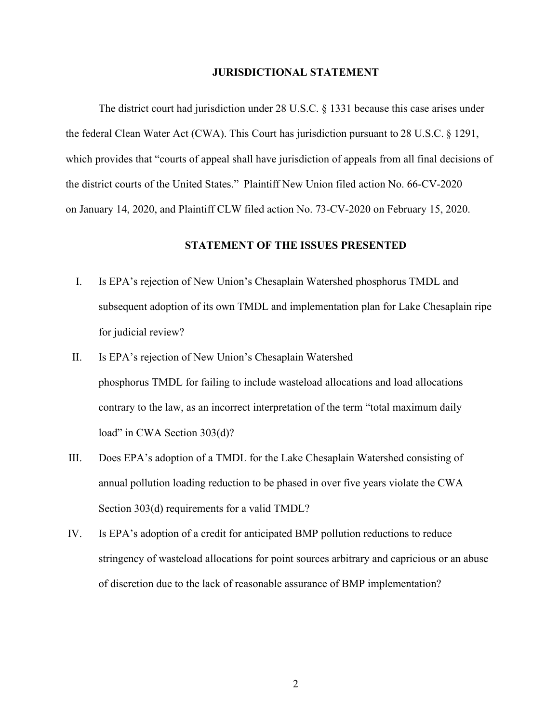#### **JURISDICTIONAL STATEMENT**

The district court had jurisdiction under 28 U.S.C. § 1331 because this case arises under the federal Clean Water Act (CWA). This Court has jurisdiction pursuant to 28 U.S.C. § 1291, which provides that "courts of appeal shall have jurisdiction of appeals from all final decisions of the district courts of the United States."  Plaintiff New Union filed action No. 66-CV-2020 on January 14, 2020, and Plaintiff CLW filed action No. 73-CV-2020 on February 15, 2020.

#### **STATEMENT OF THE ISSUES PRESENTED**

- I. Is EPA's rejection of New Union's Chesaplain Watershed phosphorus TMDL and subsequent adoption of its own TMDL and implementation plan for Lake Chesaplain ripe for judicial review?
- II. Is EPA's rejection of New Union's Chesaplain Watershed phosphorus TMDL for failing to include wasteload allocations and load allocations contrary to the law, as an incorrect interpretation of the term "total maximum daily load" in CWA Section 303(d)?
- III. Does EPA's adoption of a TMDL for the Lake Chesaplain Watershed consisting of annual pollution loading reduction to be phased in over five years violate the CWA Section 303(d) requirements for a valid TMDL?
- IV. Is EPA's adoption of a credit for anticipated BMP pollution reductions to reduce stringency of wasteload allocations for point sources arbitrary and capricious or an abuse of discretion due to the lack of reasonable assurance of BMP implementation?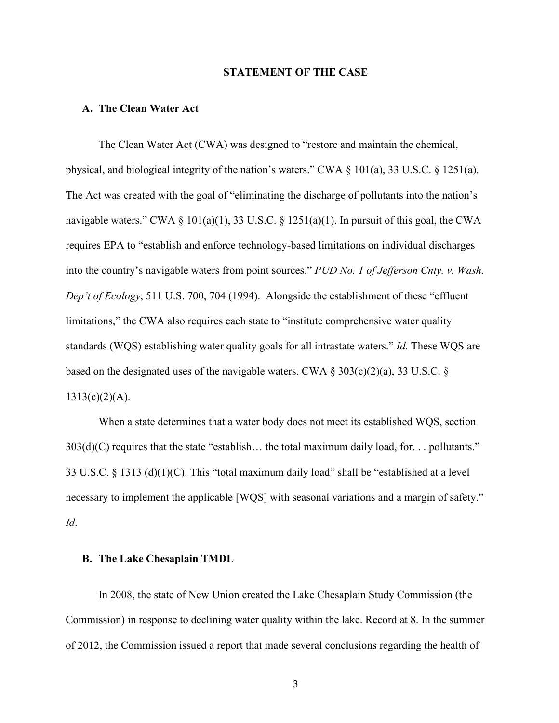#### **STATEMENT OF THE CASE**

#### **A. The Clean Water Act**

The Clean Water Act (CWA) was designed to "restore and maintain the chemical, physical, and biological integrity of the nation's waters." CWA § 101(a), 33 U.S.C. § 1251(a). The Act was created with the goal of "eliminating the discharge of pollutants into the nation's navigable waters." CWA  $\S$  101(a)(1), 33 U.S.C.  $\S$  1251(a)(1). In pursuit of this goal, the CWA requires EPA to "establish and enforce technology-based limitations on individual discharges into the country's navigable waters from point sources." *PUD No. 1 of Jefferson Cnty. v. Wash. Dep't of Ecology*, 511 U.S. 700, 704 (1994). Alongside the establishment of these "effluent limitations," the CWA also requires each state to "institute comprehensive water quality standards (WQS) establishing water quality goals for all intrastate waters." *Id.* These WQS are based on the designated uses of the navigable waters. CWA  $\S 303(c)(2)(a)$ , 33 U.S.C.  $\S$  $1313(c)(2)(A)$ .

When a state determines that a water body does not meet its established WQS, section  $303(d)(C)$  requires that the state "establish... the total maximum daily load, for... pollutants." 33 U.S.C. § 1313 (d)(1)(C). This "total maximum daily load" shall be "established at a level necessary to implement the applicable [WQS] with seasonal variations and a margin of safety." *Id*.

#### **B. The Lake Chesaplain TMDL**

In 2008, the state of New Union created the Lake Chesaplain Study Commission (the Commission) in response to declining water quality within the lake. Record at 8. In the summer of 2012, the Commission issued a report that made several conclusions regarding the health of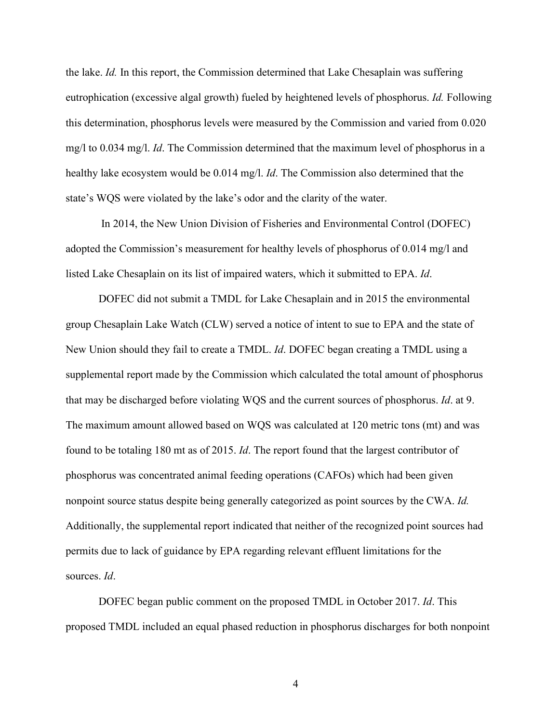the lake. *Id.* In this report, the Commission determined that Lake Chesaplain was suffering eutrophication (excessive algal growth) fueled by heightened levels of phosphorus. *Id.* Following this determination, phosphorus levels were measured by the Commission and varied from 0.020 mg/l to 0.034 mg/l. *Id*. The Commission determined that the maximum level of phosphorus in a healthy lake ecosystem would be 0.014 mg/l. *Id*. The Commission also determined that the state's WQS were violated by the lake's odor and the clarity of the water.

In 2014, the New Union Division of Fisheries and Environmental Control (DOFEC) adopted the Commission's measurement for healthy levels of phosphorus of 0.014 mg/l and listed Lake Chesaplain on its list of impaired waters, which it submitted to EPA. *Id*.

DOFEC did not submit a TMDL for Lake Chesaplain and in 2015 the environmental group Chesaplain Lake Watch (CLW) served a notice of intent to sue to EPA and the state of New Union should they fail to create a TMDL. *Id*. DOFEC began creating a TMDL using a supplemental report made by the Commission which calculated the total amount of phosphorus that may be discharged before violating WQS and the current sources of phosphorus. *Id*. at 9. The maximum amount allowed based on WQS was calculated at 120 metric tons (mt) and was found to be totaling 180 mt as of 2015. *Id*. The report found that the largest contributor of phosphorus was concentrated animal feeding operations (CAFOs) which had been given nonpoint source status despite being generally categorized as point sources by the CWA. *Id.*  Additionally, the supplemental report indicated that neither of the recognized point sources had permits due to lack of guidance by EPA regarding relevant effluent limitations for the sources. *Id*.

DOFEC began public comment on the proposed TMDL in October 2017. *Id*. This proposed TMDL included an equal phased reduction in phosphorus discharges for both nonpoint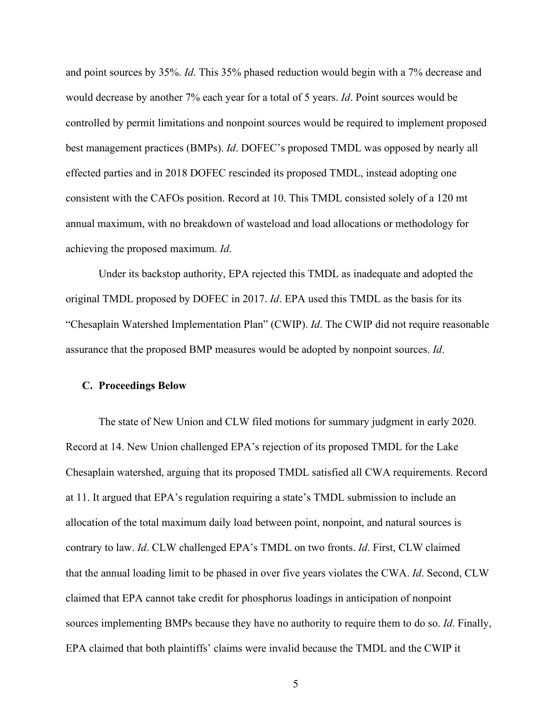and point sources by 35%. *Id*. This 35% phased reduction would begin with a 7% decrease and would decrease by another 7% each year for a total of 5 years. *Id*. Point sources would be controlled by permit limitations and nonpoint sources would be required to implement proposed best management practices (BMPs). *Id*. DOFEC's proposed TMDL was opposed by nearly all effected parties and in 2018 DOFEC rescinded its proposed TMDL, instead adopting one consistent with the CAFOs position. Record at 10. This TMDL consisted solely of a 120 mt annual maximum, with no breakdown of wasteload and load allocations or methodology for achieving the proposed maximum. *Id*.

Under its backstop authority, EPA rejected this TMDL as inadequate and adopted the original TMDL proposed by DOFEC in 2017. *Id*. EPA used this TMDL as the basis for its "Chesaplain Watershed Implementation Plan" (CWIP). *Id*. The CWIP did not require reasonable assurance that the proposed BMP measures would be adopted by nonpoint sources. *Id*.

#### **C. Proceedings Below**

The state of New Union and CLW filed motions for summary judgment in early 2020. Record at 14. New Union challenged EPA's rejection of its proposed TMDL for the Lake Chesaplain watershed, arguing that its proposed TMDL satisfied all CWA requirements. Record at 11. It argued that EPA's regulation requiring a state's TMDL submission to include an allocation of the total maximum daily load between point, nonpoint, and natural sources is contrary to law. *Id*. CLW challenged EPA's TMDL on two fronts. *Id*. First, CLW claimed that the annual loading limit to be phased in over five years violates the CWA. *Id*. Second, CLW claimed that EPA cannot take credit for phosphorus loadings in anticipation of nonpoint sources implementing BMPs because they have no authority to require them to do so. *Id*. Finally, EPA claimed that both plaintiffs' claims were invalid because the TMDL and the CWIP it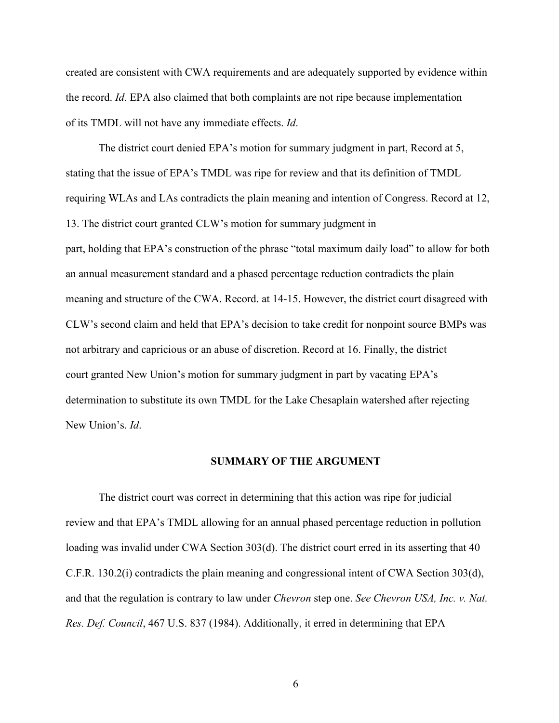created are consistent with CWA requirements and are adequately supported by evidence within the record. *Id*. EPA also claimed that both complaints are not ripe because implementation of its TMDL will not have any immediate effects. *Id*.

The district court denied EPA's motion for summary judgment in part, Record at 5, stating that the issue of EPA's TMDL was ripe for review and that its definition of TMDL requiring WLAs and LAs contradicts the plain meaning and intention of Congress. Record at 12, 13. The district court granted CLW's motion for summary judgment in part, holding that EPA's construction of the phrase "total maximum daily load" to allow for both an annual measurement standard and a phased percentage reduction contradicts the plain meaning and structure of the CWA. Record. at 14-15. However, the district court disagreed with CLW's second claim and held that EPA's decision to take credit for nonpoint source BMPs was not arbitrary and capricious or an abuse of discretion. Record at 16. Finally, the district court granted New Union's motion for summary judgment in part by vacating EPA's determination to substitute its own TMDL for the Lake Chesaplain watershed after rejecting New Union's. *Id*.

#### **SUMMARY OF THE ARGUMENT**

The district court was correct in determining that this action was ripe for judicial review and that EPA's TMDL allowing for an annual phased percentage reduction in pollution loading was invalid under CWA Section 303(d). The district court erred in its asserting that 40 C.F.R. 130.2(i) contradicts the plain meaning and congressional intent of CWA Section 303(d), and that the regulation is contrary to law under *Chevron* step one. *See Chevron USA, Inc. v. Nat. Res. Def. Council*, 467 U.S. 837 (1984). Additionally, it erred in determining that EPA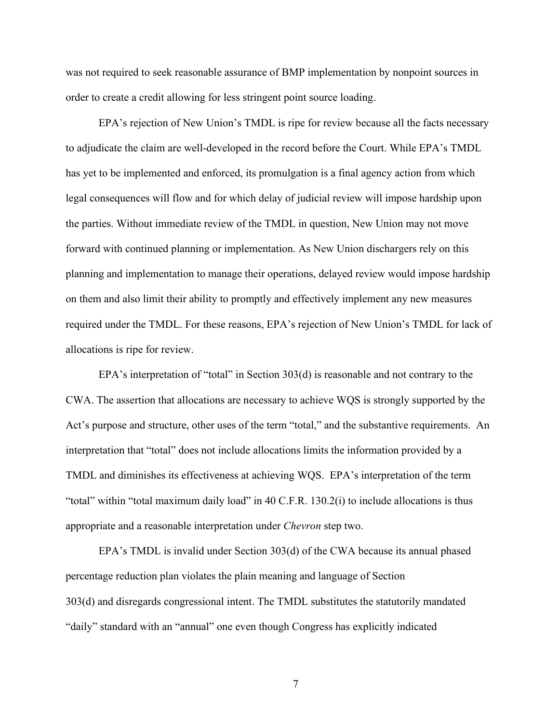was not required to seek reasonable assurance of BMP implementation by nonpoint sources in order to create a credit allowing for less stringent point source loading.

EPA's rejection of New Union's TMDL is ripe for review because all the facts necessary to adjudicate the claim are well-developed in the record before the Court. While EPA's TMDL has yet to be implemented and enforced, its promulgation is a final agency action from which legal consequences will flow and for which delay of judicial review will impose hardship upon the parties. Without immediate review of the TMDL in question, New Union may not move forward with continued planning or implementation. As New Union dischargers rely on this planning and implementation to manage their operations, delayed review would impose hardship on them and also limit their ability to promptly and effectively implement any new measures required under the TMDL. For these reasons, EPA's rejection of New Union's TMDL for lack of allocations is ripe for review.

EPA's interpretation of "total" in Section 303(d) is reasonable and not contrary to the CWA. The assertion that allocations are necessary to achieve WQS is strongly supported by the Act's purpose and structure, other uses of the term "total," and the substantive requirements. An interpretation that "total" does not include allocations limits the information provided by a TMDL and diminishes its effectiveness at achieving WQS. EPA's interpretation of the term "total" within "total maximum daily load" in 40 C.F.R. 130.2(i) to include allocations is thus appropriate and a reasonable interpretation under *Chevron* step two.

EPA's TMDL is invalid under Section 303(d) of the CWA because its annual phased percentage reduction plan violates the plain meaning and language of Section 303(d) and disregards congressional intent. The TMDL substitutes the statutorily mandated "daily" standard with an "annual" one even though Congress has explicitly indicated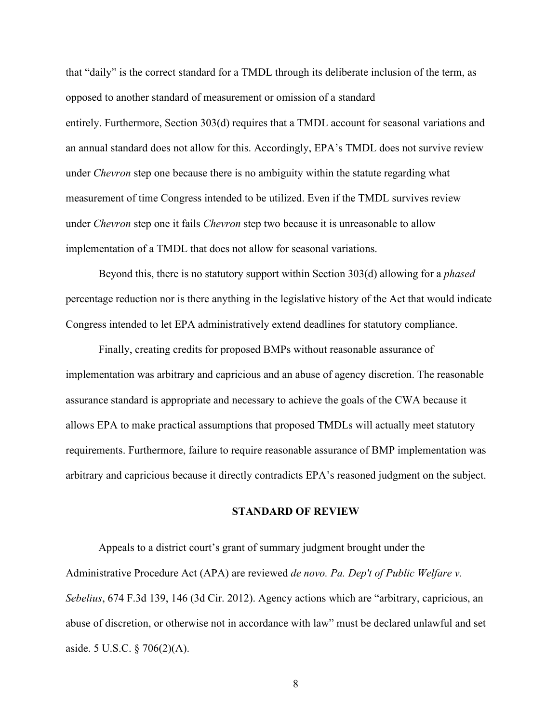that "daily" is the correct standard for a TMDL through its deliberate inclusion of the term, as opposed to another standard of measurement or omission of a standard entirely. Furthermore, Section 303(d) requires that a TMDL account for seasonal variations and an annual standard does not allow for this. Accordingly, EPA's TMDL does not survive review under *Chevron* step one because there is no ambiguity within the statute regarding what measurement of time Congress intended to be utilized. Even if the TMDL survives review under *Chevron* step one it fails *Chevron* step two because it is unreasonable to allow implementation of a TMDL that does not allow for seasonal variations.

Beyond this, there is no statutory support within Section 303(d) allowing for a *phased* percentage reduction nor is there anything in the legislative history of the Act that would indicate Congress intended to let EPA administratively extend deadlines for statutory compliance.

Finally, creating credits for proposed BMPs without reasonable assurance of implementation was arbitrary and capricious and an abuse of agency discretion. The reasonable assurance standard is appropriate and necessary to achieve the goals of the CWA because it allows EPA to make practical assumptions that proposed TMDLs will actually meet statutory requirements. Furthermore, failure to require reasonable assurance of BMP implementation was arbitrary and capricious because it directly contradicts EPA's reasoned judgment on the subject.

#### **STANDARD OF REVIEW**

Appeals to a district court's grant of summary judgment brought under the Administrative Procedure Act (APA) are reviewed *de novo. Pa. Dep't of Public Welfare v. Sebelius*, 674 F.3d 139, 146 (3d Cir. 2012). Agency actions which are "arbitrary, capricious, an abuse of discretion, or otherwise not in accordance with law" must be declared unlawful and set aside. 5 U.S.C. § 706(2)(A).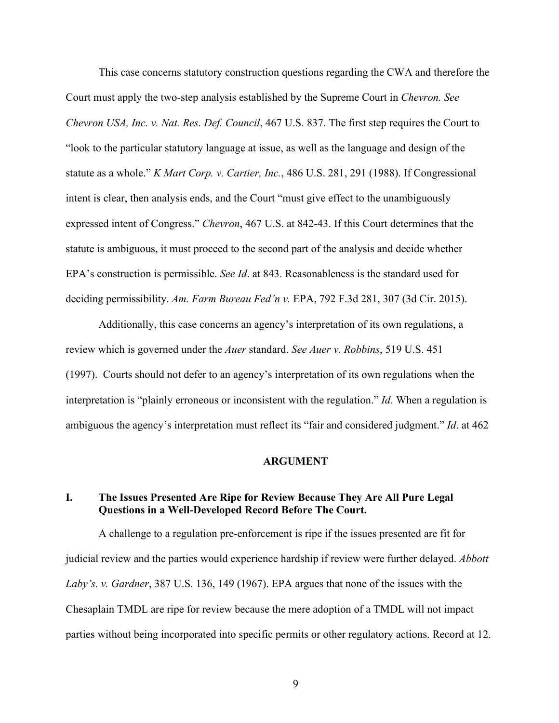This case concerns statutory construction questions regarding the CWA and therefore the Court must apply the two-step analysis established by the Supreme Court in *Chevron. See Chevron USA, Inc. v. Nat. Res. Def. Council*, 467 U.S. 837. The first step requires the Court to "look to the particular statutory language at issue, as well as the language and design of the statute as a whole." *K Mart Corp. v. Cartier, Inc.*, 486 U.S. 281, 291 (1988). If Congressional intent is clear, then analysis ends, and the Court "must give effect to the unambiguously expressed intent of Congress." *Chevron*, 467 U.S. at 842-43. If this Court determines that the statute is ambiguous, it must proceed to the second part of the analysis and decide whether EPA's construction is permissible. *See Id*. at 843. Reasonableness is the standard used for deciding permissibility. *Am. Farm Bureau Fed'n v.* EPA, 792 F.3d 281, 307 (3d Cir. 2015).

Additionally, this case concerns an agency's interpretation of its own regulations, a review which is governed under the *Auer* standard. *See Auer v. Robbins*, 519 U.S. 451 (1997). Courts should not defer to an agency's interpretation of its own regulations when the interpretation is "plainly erroneous or inconsistent with the regulation." *Id*. When a regulation is ambiguous the agency's interpretation must reflect its "fair and considered judgment." *Id*. at 462

#### **ARGUMENT**

## **I. The Issues Presented Are Ripe for Review Because They Are All Pure Legal Questions in a Well-Developed Record Before The Court.**

A challenge to a regulation pre-enforcement is ripe if the issues presented are fit for judicial review and the parties would experience hardship if review were further delayed. *Abbott Laby's. v. Gardner*, 387 U.S. 136, 149 (1967). EPA argues that none of the issues with the Chesaplain TMDL are ripe for review because the mere adoption of a TMDL will not impact parties without being incorporated into specific permits or other regulatory actions. Record at 12.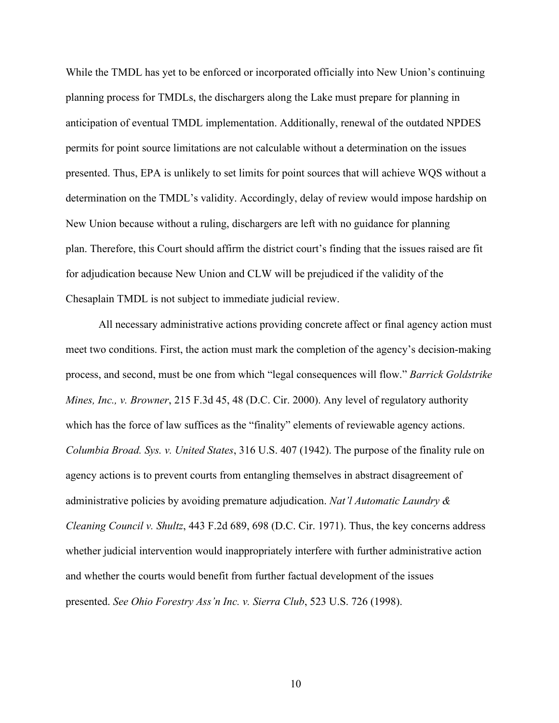While the TMDL has yet to be enforced or incorporated officially into New Union's continuing planning process for TMDLs, the dischargers along the Lake must prepare for planning in anticipation of eventual TMDL implementation. Additionally, renewal of the outdated NPDES permits for point source limitations are not calculable without a determination on the issues presented. Thus, EPA is unlikely to set limits for point sources that will achieve WQS without a determination on the TMDL's validity. Accordingly, delay of review would impose hardship on New Union because without a ruling, dischargers are left with no guidance for planning plan. Therefore, this Court should affirm the district court's finding that the issues raised are fit for adjudication because New Union and CLW will be prejudiced if the validity of the Chesaplain TMDL is not subject to immediate judicial review.

All necessary administrative actions providing concrete affect or final agency action must meet two conditions. First, the action must mark the completion of the agency's decision-making process, and second, must be one from which "legal consequences will flow." *Barrick Goldstrike Mines, Inc., v. Browner*, 215 F.3d 45, 48 (D.C. Cir. 2000). Any level of regulatory authority which has the force of law suffices as the "finality" elements of reviewable agency actions. *Columbia Broad. Sys. v. United States*, 316 U.S. 407 (1942). The purpose of the finality rule on agency actions is to prevent courts from entangling themselves in abstract disagreement of administrative policies by avoiding premature adjudication. *Nat'l Automatic Laundry & Cleaning Council v. Shultz*, 443 F.2d 689, 698 (D.C. Cir. 1971). Thus, the key concerns address whether judicial intervention would inappropriately interfere with further administrative action and whether the courts would benefit from further factual development of the issues presented. *See Ohio Forestry Ass'n Inc. v. Sierra Club*, 523 U.S. 726 (1998).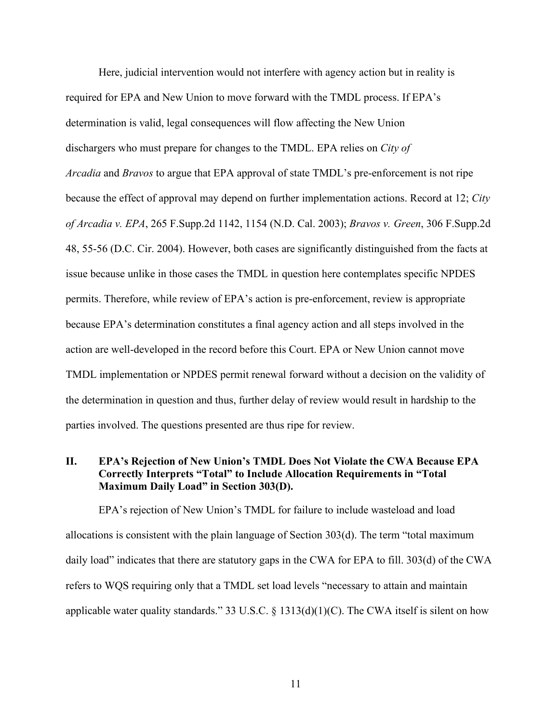Here, judicial intervention would not interfere with agency action but in reality is required for EPA and New Union to move forward with the TMDL process. If EPA's determination is valid, legal consequences will flow affecting the New Union dischargers who must prepare for changes to the TMDL. EPA relies on *City of Arcadia* and *Bravos* to argue that EPA approval of state TMDL's pre-enforcement is not ripe because the effect of approval may depend on further implementation actions. Record at 12; *City of Arcadia v. EPA*, 265 F.Supp.2d 1142, 1154 (N.D. Cal. 2003); *Bravos v. Green*, 306 F.Supp.2d 48, 55-56 (D.C. Cir. 2004). However, both cases are significantly distinguished from the facts at issue because unlike in those cases the TMDL in question here contemplates specific NPDES permits. Therefore, while review of EPA's action is pre-enforcement, review is appropriate because EPA's determination constitutes a final agency action and all steps involved in the action are well-developed in the record before this Court. EPA or New Union cannot move TMDL implementation or NPDES permit renewal forward without a decision on the validity of the determination in question and thus, further delay of review would result in hardship to the parties involved. The questions presented are thus ripe for review.

## **II. EPA's Rejection of New Union's TMDL Does Not Violate the CWA Because EPA Correctly Interprets "Total" to Include Allocation Requirements in "Total Maximum Daily Load" in Section 303(D).**

EPA's rejection of New Union's TMDL for failure to include wasteload and load allocations is consistent with the plain language of Section 303(d). The term "total maximum daily load" indicates that there are statutory gaps in the CWA for EPA to fill. 303(d) of the CWA refers to WQS requiring only that a TMDL set load levels "necessary to attain and maintain applicable water quality standards." 33 U.S.C.  $\S$  1313(d)(1)(C). The CWA itself is silent on how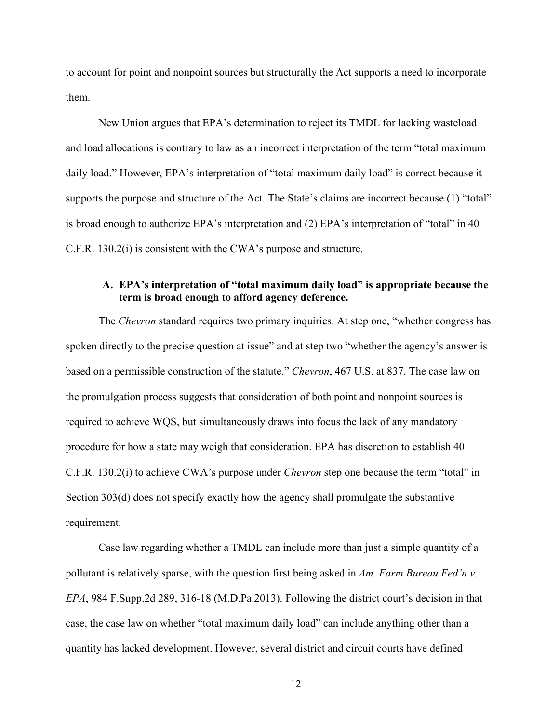to account for point and nonpoint sources but structurally the Act supports a need to incorporate them.

New Union argues that EPA's determination to reject its TMDL for lacking wasteload and load allocations is contrary to law as an incorrect interpretation of the term "total maximum daily load." However, EPA's interpretation of "total maximum daily load" is correct because it supports the purpose and structure of the Act. The State's claims are incorrect because (1) "total" is broad enough to authorize EPA's interpretation and (2) EPA's interpretation of "total" in 40 C.F.R. 130.2(i) is consistent with the CWA's purpose and structure.

## **A. EPA's interpretation of "total maximum daily load" is appropriate because the term is broad enough to afford agency deference.**

The *Chevron* standard requires two primary inquiries. At step one, "whether congress has spoken directly to the precise question at issue" and at step two "whether the agency's answer is based on a permissible construction of the statute." *Chevron*, 467 U.S. at 837. The case law on the promulgation process suggests that consideration of both point and nonpoint sources is required to achieve WQS, but simultaneously draws into focus the lack of any mandatory procedure for how a state may weigh that consideration. EPA has discretion to establish 40 C.F.R. 130.2(i) to achieve CWA's purpose under *Chevron* step one because the term "total" in Section 303(d) does not specify exactly how the agency shall promulgate the substantive requirement.

Case law regarding whether a TMDL can include more than just a simple quantity of a pollutant is relatively sparse, with the question first being asked in *Am. Farm Bureau Fed'n v. EPA*, 984 F.Supp.2d 289, 316-18 (M.D.Pa.2013). Following the district court's decision in that case, the case law on whether "total maximum daily load" can include anything other than a quantity has lacked development. However, several district and circuit courts have defined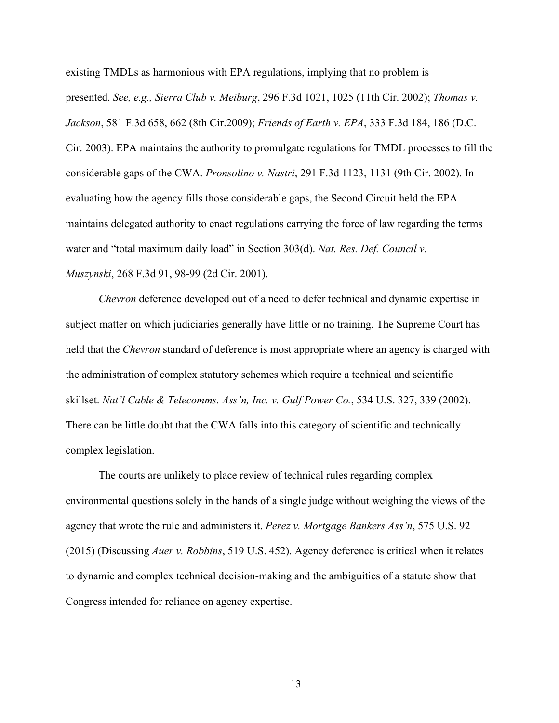existing TMDLs as harmonious with EPA regulations, implying that no problem is presented. *See, e.g., Sierra Club v. Meiburg*, 296 F.3d 1021, 1025 (11th Cir. 2002); *Thomas v. Jackson*, 581 F.3d 658, 662 (8th Cir.2009); *Friends of Earth v. EPA*, 333 F.3d 184, 186 (D.C. Cir. 2003). EPA maintains the authority to promulgate regulations for TMDL processes to fill the considerable gaps of the CWA. *Pronsolino v. Nastri*, 291 F.3d 1123, 1131 (9th Cir. 2002). In evaluating how the agency fills those considerable gaps, the Second Circuit held the EPA maintains delegated authority to enact regulations carrying the force of law regarding the terms water and "total maximum daily load" in Section 303(d). *Nat. Res. Def. Council v. Muszynski*, 268 F.3d 91, 98-99 (2d Cir. 2001).

*Chevron* deference developed out of a need to defer technical and dynamic expertise in subject matter on which judiciaries generally have little or no training. The Supreme Court has held that the *Chevron* standard of deference is most appropriate where an agency is charged with the administration of complex statutory schemes which require a technical and scientific skillset. *Nat'l Cable & Telecomms. Ass'n, Inc. v. Gulf Power Co.*, 534 U.S. 327, 339 (2002). There can be little doubt that the CWA falls into this category of scientific and technically complex legislation.

The courts are unlikely to place review of technical rules regarding complex environmental questions solely in the hands of a single judge without weighing the views of the agency that wrote the rule and administers it. *Perez v. Mortgage Bankers Ass'n*, 575 U.S. 92 (2015) (Discussing *Auer v. Robbins*, 519 U.S. 452). Agency deference is critical when it relates to dynamic and complex technical decision-making and the ambiguities of a statute show that Congress intended for reliance on agency expertise.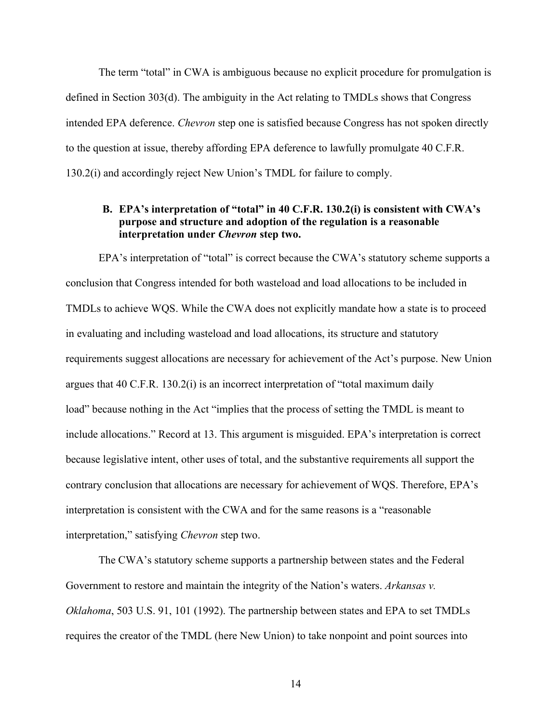The term "total" in CWA is ambiguous because no explicit procedure for promulgation is defined in Section 303(d). The ambiguity in the Act relating to TMDLs shows that Congress intended EPA deference. *Chevron* step one is satisfied because Congress has not spoken directly to the question at issue, thereby affording EPA deference to lawfully promulgate 40 C.F.R. 130.2(i) and accordingly reject New Union's TMDL for failure to comply.

## **B. EPA's interpretation of "total" in 40 C.F.R. 130.2(i) is consistent with CWA's purpose and structure and adoption of the regulation is a reasonable interpretation under** *Chevron* **step two.**

EPA's interpretation of "total" is correct because the CWA's statutory scheme supports a conclusion that Congress intended for both wasteload and load allocations to be included in TMDLs to achieve WQS. While the CWA does not explicitly mandate how a state is to proceed in evaluating and including wasteload and load allocations, its structure and statutory requirements suggest allocations are necessary for achievement of the Act's purpose. New Union argues that 40 C.F.R. 130.2(i) is an incorrect interpretation of "total maximum daily load" because nothing in the Act "implies that the process of setting the TMDL is meant to include allocations." Record at 13. This argument is misguided. EPA's interpretation is correct because legislative intent, other uses of total, and the substantive requirements all support the contrary conclusion that allocations are necessary for achievement of WQS. Therefore, EPA's interpretation is consistent with the CWA and for the same reasons is a "reasonable interpretation," satisfying *Chevron* step two.

The CWA's statutory scheme supports a partnership between states and the Federal Government to restore and maintain the integrity of the Nation's waters. *Arkansas v. Oklahoma*, 503 U.S. 91, 101 (1992). The partnership between states and EPA to set TMDLs requires the creator of the TMDL (here New Union) to take nonpoint and point sources into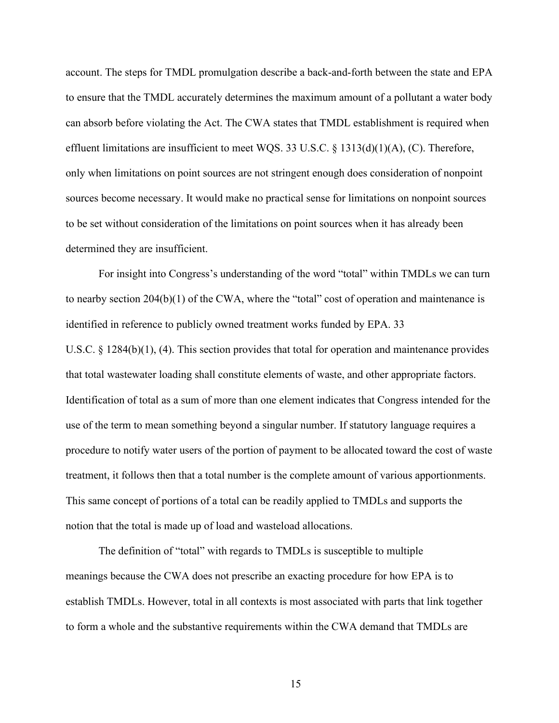account. The steps for TMDL promulgation describe a back-and-forth between the state and EPA to ensure that the TMDL accurately determines the maximum amount of a pollutant a water body can absorb before violating the Act. The CWA states that TMDL establishment is required when effluent limitations are insufficient to meet WQS. 33 U.S.C.  $\S$  1313(d)(1)(A), (C). Therefore, only when limitations on point sources are not stringent enough does consideration of nonpoint sources become necessary. It would make no practical sense for limitations on nonpoint sources to be set without consideration of the limitations on point sources when it has already been determined they are insufficient.

For insight into Congress's understanding of the word "total" within TMDLs we can turn to nearby section 204(b)(1) of the CWA, where the "total" cost of operation and maintenance is identified in reference to publicly owned treatment works funded by EPA. 33 U.S.C. § 1284(b)(1), (4). This section provides that total for operation and maintenance provides that total wastewater loading shall constitute elements of waste, and other appropriate factors. Identification of total as a sum of more than one element indicates that Congress intended for the use of the term to mean something beyond a singular number. If statutory language requires a procedure to notify water users of the portion of payment to be allocated toward the cost of waste treatment, it follows then that a total number is the complete amount of various apportionments. This same concept of portions of a total can be readily applied to TMDLs and supports the notion that the total is made up of load and wasteload allocations.

The definition of "total" with regards to TMDLs is susceptible to multiple meanings because the CWA does not prescribe an exacting procedure for how EPA is to establish TMDLs. However, total in all contexts is most associated with parts that link together to form a whole and the substantive requirements within the CWA demand that TMDLs are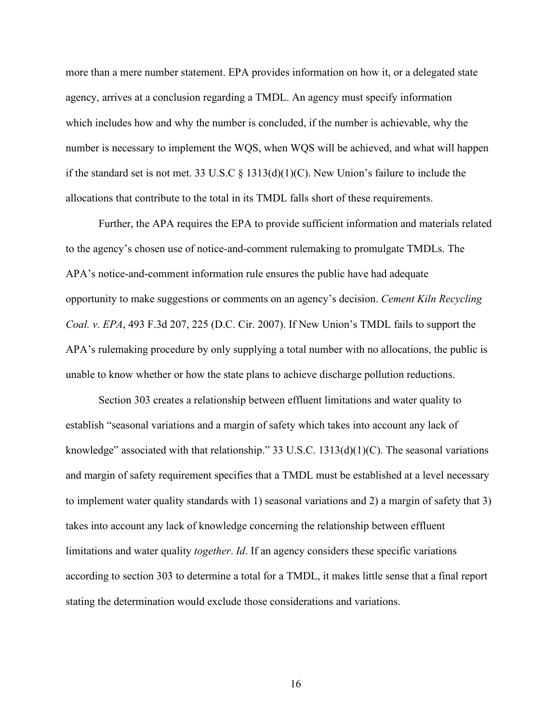more than a mere number statement. EPA provides information on how it, or a delegated state agency, arrives at a conclusion regarding a TMDL. An agency must specify information which includes how and why the number is concluded, if the number is achievable, why the number is necessary to implement the WQS, when WQS will be achieved, and what will happen if the standard set is not met. 33 U.S.C  $\S$  1313(d)(1)(C). New Union's failure to include the allocations that contribute to the total in its TMDL falls short of these requirements.

Further, the APA requires the EPA to provide sufficient information and materials related to the agency's chosen use of notice-and-comment rulemaking to promulgate TMDLs. The APA's notice-and-comment information rule ensures the public have had adequate opportunity to make suggestions or comments on an agency's decision. *Cement Kiln Recycling Coal. v. EPA*, 493 F.3d 207, 225 (D.C. Cir. 2007). If New Union's TMDL fails to support the APA's rulemaking procedure by only supplying a total number with no allocations, the public is unable to know whether or how the state plans to achieve discharge pollution reductions.

Section 303 creates a relationship between effluent limitations and water quality to establish "seasonal variations and a margin of safety which takes into account any lack of knowledge" associated with that relationship." 33 U.S.C.  $1313(d)(1)(C)$ . The seasonal variations and margin of safety requirement specifies that a TMDL must be established at a level necessary to implement water quality standards with 1) seasonal variations and 2) a margin of safety that 3) takes into account any lack of knowledge concerning the relationship between effluent limitations and water quality *together*. *Id*. If an agency considers these specific variations according to section 303 to determine a total for a TMDL, it makes little sense that a final report stating the determination would exclude those considerations and variations.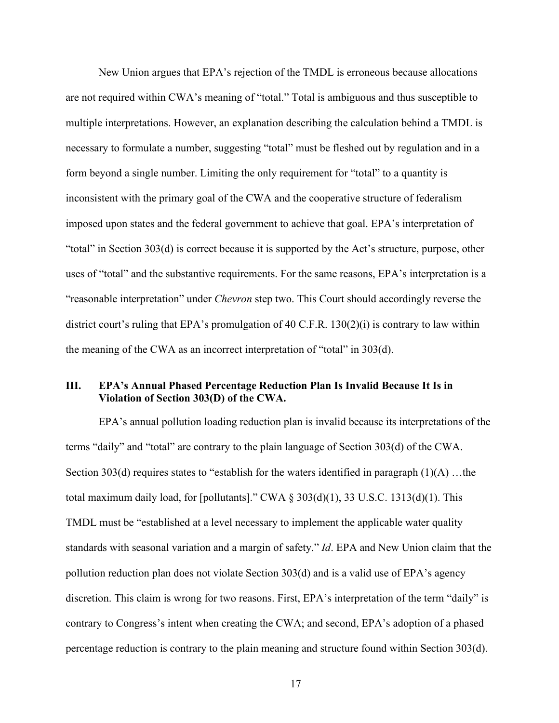New Union argues that EPA's rejection of the TMDL is erroneous because allocations are not required within CWA's meaning of "total." Total is ambiguous and thus susceptible to multiple interpretations. However, an explanation describing the calculation behind a TMDL is necessary to formulate a number, suggesting "total" must be fleshed out by regulation and in a form beyond a single number. Limiting the only requirement for "total" to a quantity is inconsistent with the primary goal of the CWA and the cooperative structure of federalism imposed upon states and the federal government to achieve that goal. EPA's interpretation of "total" in Section 303(d) is correct because it is supported by the Act's structure, purpose, other uses of "total" and the substantive requirements. For the same reasons, EPA's interpretation is a "reasonable interpretation" under *Chevron* step two. This Court should accordingly reverse the district court's ruling that EPA's promulgation of 40 C.F.R. 130(2)(i) is contrary to law within the meaning of the CWA as an incorrect interpretation of "total" in 303(d).

## **III. EPA's Annual Phased Percentage Reduction Plan Is Invalid Because It Is in Violation of Section 303(D) of the CWA.**

EPA's annual pollution loading reduction plan is invalid because its interpretations of the terms "daily" and "total" are contrary to the plain language of Section 303(d) of the CWA. Section 303(d) requires states to "establish for the waters identified in paragraph  $(1)(A)$ ...the total maximum daily load, for [pollutants]." CWA  $\S 303(d)(1)$ , 33 U.S.C. 1313(d)(1). This TMDL must be "established at a level necessary to implement the applicable water quality standards with seasonal variation and a margin of safety." *Id*. EPA and New Union claim that the pollution reduction plan does not violate Section 303(d) and is a valid use of EPA's agency discretion. This claim is wrong for two reasons. First, EPA's interpretation of the term "daily" is contrary to Congress's intent when creating the CWA; and second, EPA's adoption of a phased percentage reduction is contrary to the plain meaning and structure found within Section 303(d).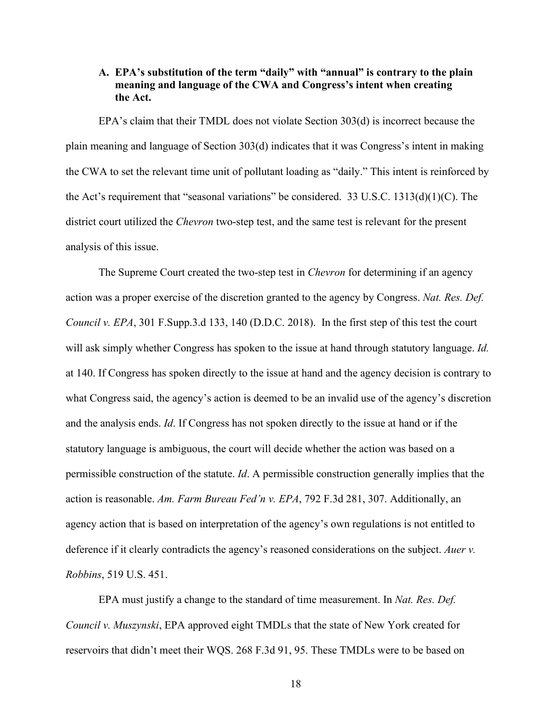## **A. EPA's substitution of the term "daily" with "annual" is contrary to the plain meaning and language of the CWA and Congress's intent when creating the Act.**

EPA's claim that their TMDL does not violate Section 303(d) is incorrect because the plain meaning and language of Section 303(d) indicates that it was Congress's intent in making the CWA to set the relevant time unit of pollutant loading as "daily." This intent is reinforced by the Act's requirement that "seasonal variations" be considered. 33 U.S.C. 1313(d)(1)(C). The district court utilized the *Chevron* two-step test, and the same test is relevant for the present analysis of this issue.

The Supreme Court created the two-step test in *Chevron* for determining if an agency action was a proper exercise of the discretion granted to the agency by Congress. *Nat. Res. Def. Council v. EPA*, 301 F.Supp.3.d 133, 140 (D.D.C. 2018). In the first step of this test the court will ask simply whether Congress has spoken to the issue at hand through statutory language. *Id.*  at 140. If Congress has spoken directly to the issue at hand and the agency decision is contrary to what Congress said, the agency's action is deemed to be an invalid use of the agency's discretion and the analysis ends. *Id*. If Congress has not spoken directly to the issue at hand or if the statutory language is ambiguous, the court will decide whether the action was based on a permissible construction of the statute. *Id*. A permissible construction generally implies that the action is reasonable. *Am. Farm Bureau Fed'n v. EPA*, 792 F.3d 281, 307. Additionally, an agency action that is based on interpretation of the agency's own regulations is not entitled to deference if it clearly contradicts the agency's reasoned considerations on the subject. *Auer v. Robbins*, 519 U.S. 451.

EPA must justify a change to the standard of time measurement. In *Nat. Res. Def. Council v. Muszynski*, EPA approved eight TMDLs that the state of New York created for reservoirs that didn't meet their WQS. 268 F.3d 91, 95. These TMDLs were to be based on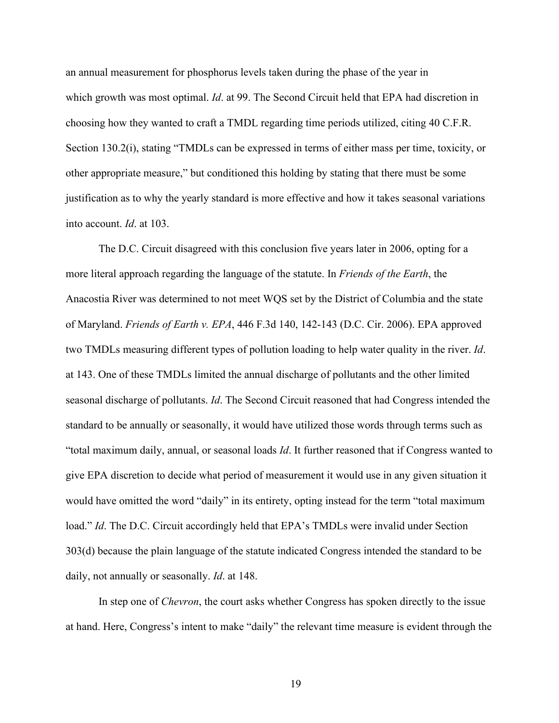an annual measurement for phosphorus levels taken during the phase of the year in which growth was most optimal. *Id*. at 99. The Second Circuit held that EPA had discretion in choosing how they wanted to craft a TMDL regarding time periods utilized, citing 40 C.F.R. Section 130.2(i), stating "TMDLs can be expressed in terms of either mass per time, toxicity, or other appropriate measure," but conditioned this holding by stating that there must be some justification as to why the yearly standard is more effective and how it takes seasonal variations into account. *Id*. at 103.

The D.C. Circuit disagreed with this conclusion five years later in 2006, opting for a more literal approach regarding the language of the statute. In *Friends of the Earth*, the Anacostia River was determined to not meet WQS set by the District of Columbia and the state of Maryland. *Friends of Earth v. EPA*, 446 F.3d 140, 142-143 (D.C. Cir. 2006). EPA approved two TMDLs measuring different types of pollution loading to help water quality in the river. *Id*. at 143. One of these TMDLs limited the annual discharge of pollutants and the other limited seasonal discharge of pollutants. *Id*. The Second Circuit reasoned that had Congress intended the standard to be annually or seasonally, it would have utilized those words through terms such as "total maximum daily, annual, or seasonal loads *Id*. It further reasoned that if Congress wanted to give EPA discretion to decide what period of measurement it would use in any given situation it would have omitted the word "daily" in its entirety, opting instead for the term "total maximum load." *Id*. The D.C. Circuit accordingly held that EPA's TMDLs were invalid under Section 303(d) because the plain language of the statute indicated Congress intended the standard to be daily, not annually or seasonally. *Id*. at 148.

In step one of *Chevron*, the court asks whether Congress has spoken directly to the issue at hand. Here, Congress's intent to make "daily" the relevant time measure is evident through the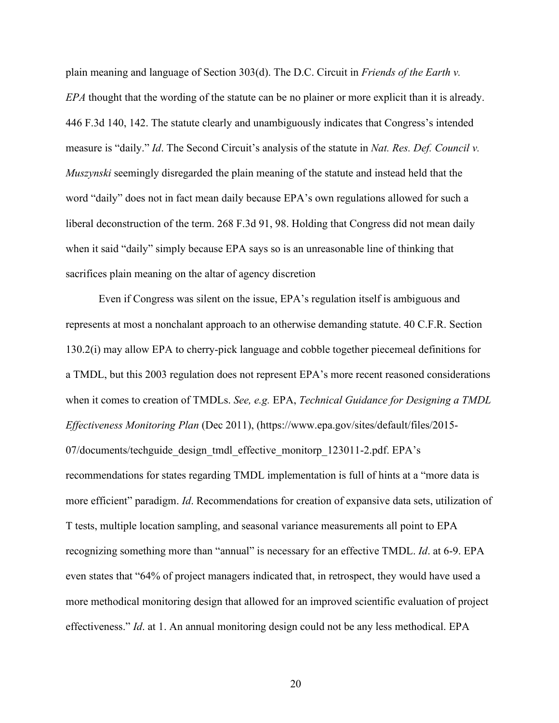plain meaning and language of Section 303(d). The D.C. Circuit in *Friends of the Earth v. EPA* thought that the wording of the statute can be no plainer or more explicit than it is already. 446 F.3d 140, 142. The statute clearly and unambiguously indicates that Congress's intended measure is "daily." *Id*. The Second Circuit's analysis of the statute in *Nat. Res. Def. Council v. Muszynski* seemingly disregarded the plain meaning of the statute and instead held that the word "daily" does not in fact mean daily because EPA's own regulations allowed for such a liberal deconstruction of the term. 268 F.3d 91, 98. Holding that Congress did not mean daily when it said "daily" simply because EPA says so is an unreasonable line of thinking that sacrifices plain meaning on the altar of agency discretion

Even if Congress was silent on the issue, EPA's regulation itself is ambiguous and represents at most a nonchalant approach to an otherwise demanding statute. 40 C.F.R. Section 130.2(i) may allow EPA to cherry-pick language and cobble together piecemeal definitions for a TMDL, but this 2003 regulation does not represent EPA's more recent reasoned considerations when it comes to creation of TMDLs. *See, e.g.* EPA, *Technical Guidance for Designing a TMDL Effectiveness Monitoring Plan* (Dec 2011), (https://www.epa.gov/sites/default/files/2015- 07/documents/techguide\_design\_tmdl\_effective\_monitorp\_123011-2.pdf. EPA's recommendations for states regarding TMDL implementation is full of hints at a "more data is more efficient" paradigm. *Id*. Recommendations for creation of expansive data sets, utilization of T tests, multiple location sampling, and seasonal variance measurements all point to EPA recognizing something more than "annual" is necessary for an effective TMDL. *Id*. at 6-9. EPA even states that "64% of project managers indicated that, in retrospect, they would have used a more methodical monitoring design that allowed for an improved scientific evaluation of project effectiveness." *Id*. at 1. An annual monitoring design could not be any less methodical. EPA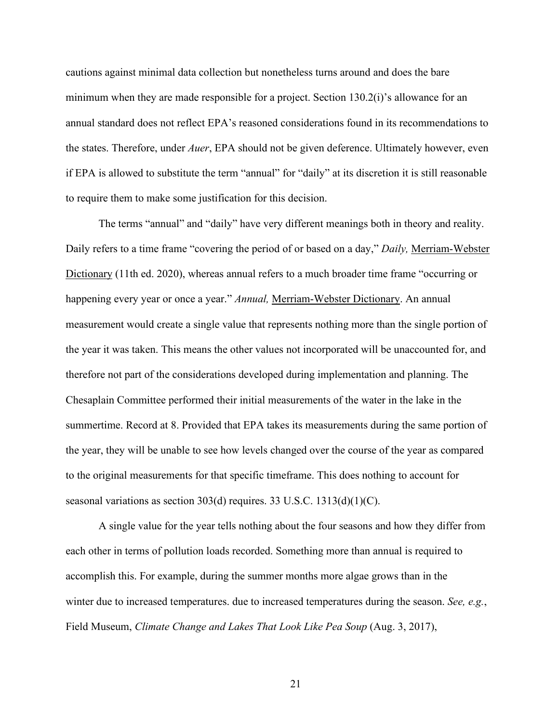cautions against minimal data collection but nonetheless turns around and does the bare minimum when they are made responsible for a project. Section 130.2(i)'s allowance for an annual standard does not reflect EPA's reasoned considerations found in its recommendations to the states. Therefore, under *Auer*, EPA should not be given deference. Ultimately however, even if EPA is allowed to substitute the term "annual" for "daily" at its discretion it is still reasonable to require them to make some justification for this decision.

The terms "annual" and "daily" have very different meanings both in theory and reality. Daily refers to a time frame "covering the period of or based on a day," *Daily,* Merriam-Webster Dictionary (11th ed. 2020), whereas annual refers to a much broader time frame "occurring or happening every year or once a year." *Annual,* Merriam-Webster Dictionary. An annual measurement would create a single value that represents nothing more than the single portion of the year it was taken. This means the other values not incorporated will be unaccounted for, and therefore not part of the considerations developed during implementation and planning. The Chesaplain Committee performed their initial measurements of the water in the lake in the summertime. Record at 8. Provided that EPA takes its measurements during the same portion of the year, they will be unable to see how levels changed over the course of the year as compared to the original measurements for that specific timeframe. This does nothing to account for seasonal variations as section 303(d) requires. 33 U.S.C. 1313(d)(1)(C).

A single value for the year tells nothing about the four seasons and how they differ from each other in terms of pollution loads recorded. Something more than annual is required to accomplish this. For example, during the summer months more algae grows than in the winter due to increased temperatures. due to increased temperatures during the season. *See, e.g.*, Field Museum, *Climate Change and Lakes That Look Like Pea Soup* (Aug. 3, 2017),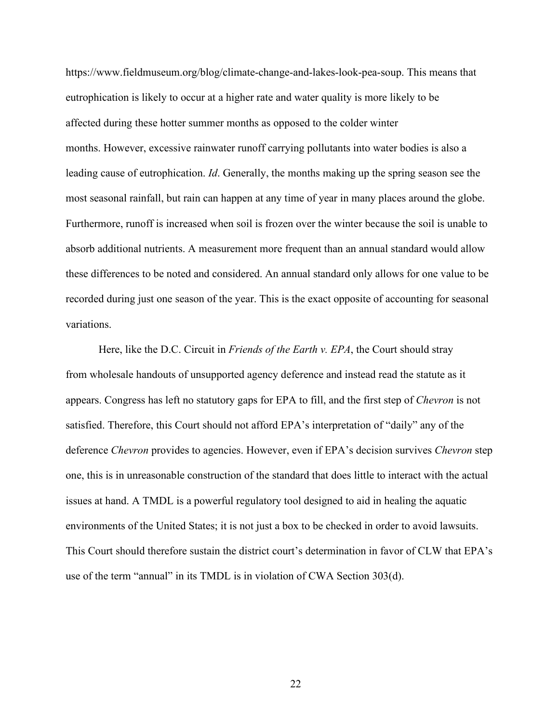https://www.fieldmuseum.org/blog/climate-change-and-lakes-look-pea-soup. This means that eutrophication is likely to occur at a higher rate and water quality is more likely to be affected during these hotter summer months as opposed to the colder winter months. However, excessive rainwater runoff carrying pollutants into water bodies is also a leading cause of eutrophication. *Id*. Generally, the months making up the spring season see the most seasonal rainfall, but rain can happen at any time of year in many places around the globe. Furthermore, runoff is increased when soil is frozen over the winter because the soil is unable to absorb additional nutrients. A measurement more frequent than an annual standard would allow these differences to be noted and considered. An annual standard only allows for one value to be recorded during just one season of the year. This is the exact opposite of accounting for seasonal variations.

Here, like the D.C. Circuit in *Friends of the Earth v. EPA*, the Court should stray from wholesale handouts of unsupported agency deference and instead read the statute as it appears. Congress has left no statutory gaps for EPA to fill, and the first step of *Chevron* is not satisfied. Therefore, this Court should not afford EPA's interpretation of "daily" any of the deference *Chevron* provides to agencies. However, even if EPA's decision survives *Chevron* step one, this is in unreasonable construction of the standard that does little to interact with the actual issues at hand. A TMDL is a powerful regulatory tool designed to aid in healing the aquatic environments of the United States; it is not just a box to be checked in order to avoid lawsuits. This Court should therefore sustain the district court's determination in favor of CLW that EPA's use of the term "annual" in its TMDL is in violation of CWA Section 303(d).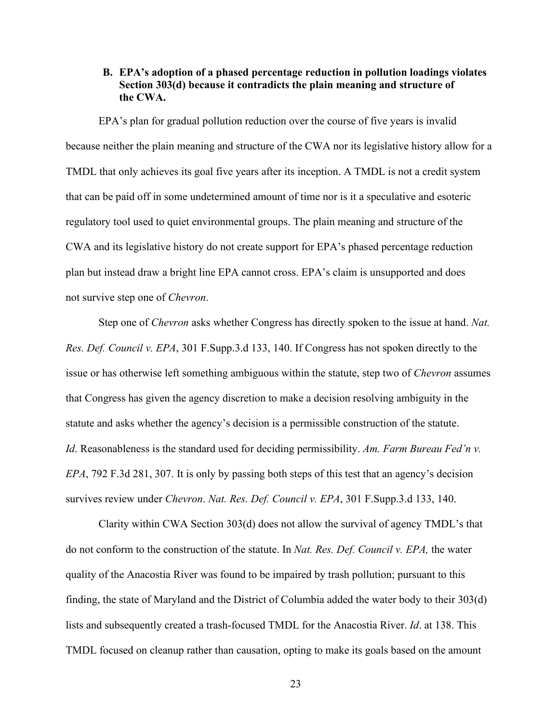## **B. EPA's adoption of a phased percentage reduction in pollution loadings violates Section 303(d) because it contradicts the plain meaning and structure of the CWA.**

EPA's plan for gradual pollution reduction over the course of five years is invalid because neither the plain meaning and structure of the CWA nor its legislative history allow for a TMDL that only achieves its goal five years after its inception. A TMDL is not a credit system that can be paid off in some undetermined amount of time nor is it a speculative and esoteric regulatory tool used to quiet environmental groups. The plain meaning and structure of the CWA and its legislative history do not create support for EPA's phased percentage reduction plan but instead draw a bright line EPA cannot cross. EPA's claim is unsupported and does not survive step one of *Chevron*.

Step one of *Chevron* asks whether Congress has directly spoken to the issue at hand. *Nat. Res. Def. Council v. EPA*, 301 F.Supp.3.d 133, 140. If Congress has not spoken directly to the issue or has otherwise left something ambiguous within the statute, step two of *Chevron* assumes that Congress has given the agency discretion to make a decision resolving ambiguity in the statute and asks whether the agency's decision is a permissible construction of the statute. *Id*. Reasonableness is the standard used for deciding permissibility. *Am. Farm Bureau Fed'n v. EPA*, 792 F.3d 281, 307. It is only by passing both steps of this test that an agency's decision survives review under *Chevron*. *Nat. Res. Def. Council v. EPA*, 301 F.Supp.3.d 133, 140.

Clarity within CWA Section 303(d) does not allow the survival of agency TMDL's that do not conform to the construction of the statute. In *Nat. Res. Def. Council v. EPA,* the water quality of the Anacostia River was found to be impaired by trash pollution; pursuant to this finding, the state of Maryland and the District of Columbia added the water body to their 303(d) lists and subsequently created a trash-focused TMDL for the Anacostia River. *Id*. at 138. This TMDL focused on cleanup rather than causation, opting to make its goals based on the amount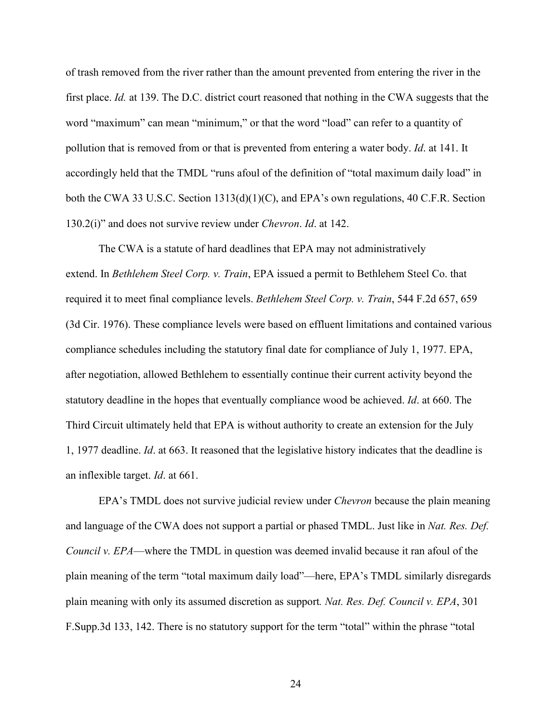of trash removed from the river rather than the amount prevented from entering the river in the first place. *Id.* at 139. The D.C. district court reasoned that nothing in the CWA suggests that the word "maximum" can mean "minimum," or that the word "load" can refer to a quantity of pollution that is removed from or that is prevented from entering a water body. *Id*. at 141. It accordingly held that the TMDL "runs afoul of the definition of "total maximum daily load" in both the CWA 33 U.S.C. Section 1313(d)(1)(C), and EPA's own regulations, 40 C.F.R. Section 130.2(i)" and does not survive review under *Chevron*. *Id*. at 142.

The CWA is a statute of hard deadlines that EPA may not administratively extend. In *Bethlehem Steel Corp. v. Train*, EPA issued a permit to Bethlehem Steel Co. that required it to meet final compliance levels. *Bethlehem Steel Corp. v. Train*, 544 F.2d 657, 659 (3d Cir. 1976). These compliance levels were based on effluent limitations and contained various compliance schedules including the statutory final date for compliance of July 1, 1977. EPA, after negotiation, allowed Bethlehem to essentially continue their current activity beyond the statutory deadline in the hopes that eventually compliance wood be achieved. *Id*. at 660. The Third Circuit ultimately held that EPA is without authority to create an extension for the July 1, 1977 deadline. *Id*. at 663. It reasoned that the legislative history indicates that the deadline is an inflexible target. *Id*. at 661.

EPA's TMDL does not survive judicial review under *Chevron* because the plain meaning and language of the CWA does not support a partial or phased TMDL. Just like in *Nat. Res. Def. Council v. EPA*—where the TMDL in question was deemed invalid because it ran afoul of the plain meaning of the term "total maximum daily load"—here, EPA's TMDL similarly disregards plain meaning with only its assumed discretion as support*. Nat. Res. Def. Council v. EPA*, 301 F.Supp.3d 133, 142. There is no statutory support for the term "total" within the phrase "total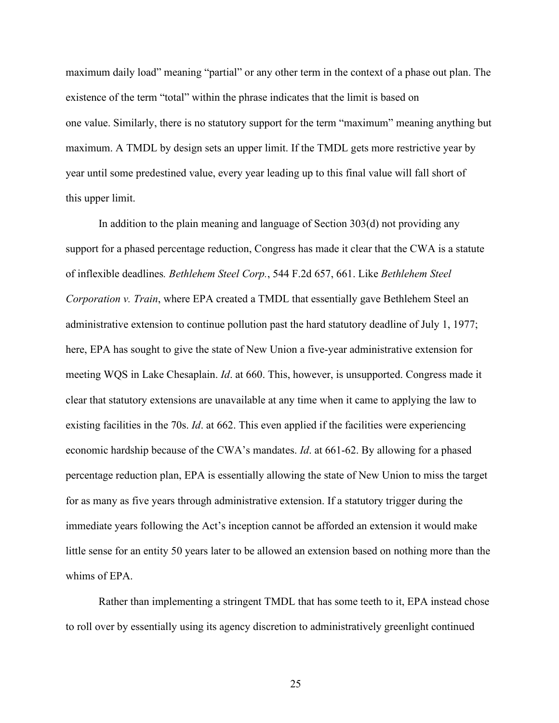maximum daily load" meaning "partial" or any other term in the context of a phase out plan. The existence of the term "total" within the phrase indicates that the limit is based on one value. Similarly, there is no statutory support for the term "maximum" meaning anything but maximum. A TMDL by design sets an upper limit. If the TMDL gets more restrictive year by year until some predestined value, every year leading up to this final value will fall short of this upper limit.

In addition to the plain meaning and language of Section 303(d) not providing any support for a phased percentage reduction, Congress has made it clear that the CWA is a statute of inflexible deadlines*. Bethlehem Steel Corp.*, 544 F.2d 657, 661. Like *Bethlehem Steel Corporation v. Train*, where EPA created a TMDL that essentially gave Bethlehem Steel an administrative extension to continue pollution past the hard statutory deadline of July 1, 1977; here, EPA has sought to give the state of New Union a five-year administrative extension for meeting WQS in Lake Chesaplain. *Id*. at 660. This, however, is unsupported. Congress made it clear that statutory extensions are unavailable at any time when it came to applying the law to existing facilities in the 70s. *Id*. at 662. This even applied if the facilities were experiencing economic hardship because of the CWA's mandates. *Id*. at 661-62. By allowing for a phased percentage reduction plan, EPA is essentially allowing the state of New Union to miss the target for as many as five years through administrative extension. If a statutory trigger during the immediate years following the Act's inception cannot be afforded an extension it would make little sense for an entity 50 years later to be allowed an extension based on nothing more than the whims of EPA.

Rather than implementing a stringent TMDL that has some teeth to it, EPA instead chose to roll over by essentially using its agency discretion to administratively greenlight continued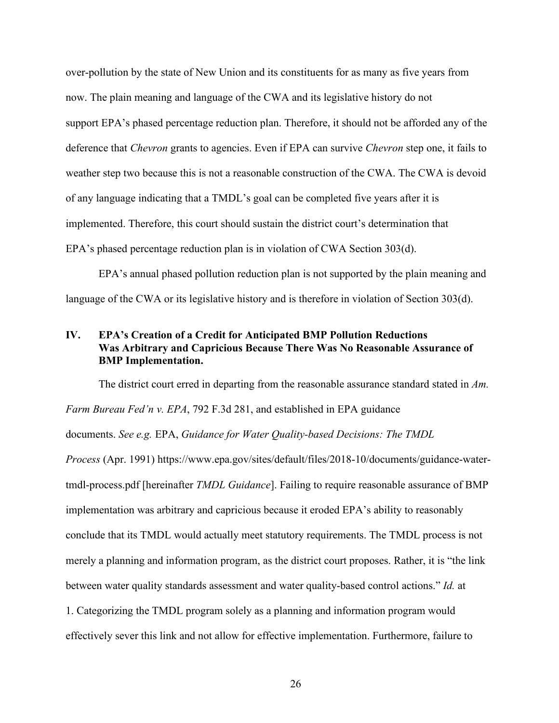over-pollution by the state of New Union and its constituents for as many as five years from now. The plain meaning and language of the CWA and its legislative history do not support EPA's phased percentage reduction plan. Therefore, it should not be afforded any of the deference that *Chevron* grants to agencies. Even if EPA can survive *Chevron* step one, it fails to weather step two because this is not a reasonable construction of the CWA. The CWA is devoid of any language indicating that a TMDL's goal can be completed five years after it is implemented. Therefore, this court should sustain the district court's determination that EPA's phased percentage reduction plan is in violation of CWA Section 303(d).

EPA's annual phased pollution reduction plan is not supported by the plain meaning and language of the CWA or its legislative history and is therefore in violation of Section 303(d).

## **IV. EPA's Creation of a Credit for Anticipated BMP Pollution Reductions Was Arbitrary and Capricious Because There Was No Reasonable Assurance of BMP Implementation.**

The district court erred in departing from the reasonable assurance standard stated in *Am. Farm Bureau Fed'n v. EPA*, 792 F.3d 281, and established in EPA guidance documents. *See e.g.* EPA, *Guidance for Water Quality-based Decisions: The TMDL Process* (Apr. 1991) https://www.epa.gov/sites/default/files/2018-10/documents/guidance-watertmdl-process.pdf [hereinafter *TMDL Guidance*]. Failing to require reasonable assurance of BMP implementation was arbitrary and capricious because it eroded EPA's ability to reasonably conclude that its TMDL would actually meet statutory requirements. The TMDL process is not merely a planning and information program, as the district court proposes. Rather, it is "the link between water quality standards assessment and water quality-based control actions." *Id.* at 1. Categorizing the TMDL program solely as a planning and information program would effectively sever this link and not allow for effective implementation. Furthermore, failure to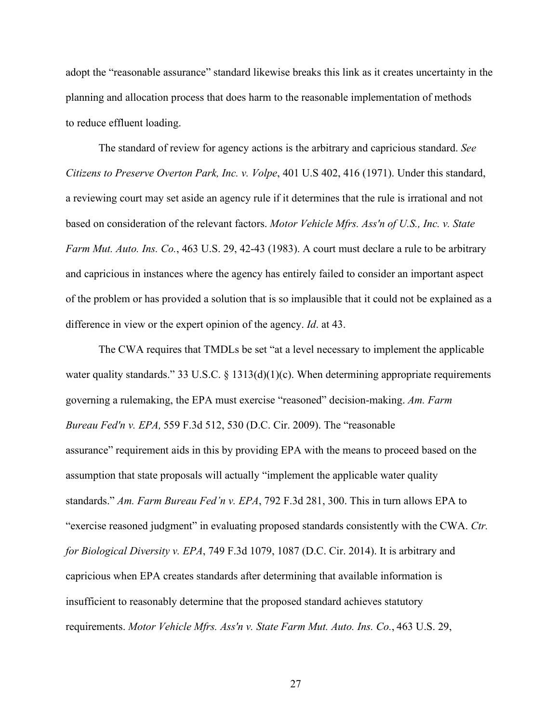adopt the "reasonable assurance" standard likewise breaks this link as it creates uncertainty in the planning and allocation process that does harm to the reasonable implementation of methods to reduce effluent loading.

The standard of review for agency actions is the arbitrary and capricious standard. *See Citizens to Preserve Overton Park, Inc. v. Volpe*, 401 U.S 402, 416 (1971). Under this standard, a reviewing court may set aside an agency rule if it determines that the rule is irrational and not based on consideration of the relevant factors. *Motor Vehicle Mfrs. Ass'n of U.S., Inc. v. State Farm Mut. Auto. Ins. Co.*, 463 U.S. 29, 42-43 (1983). A court must declare a rule to be arbitrary and capricious in instances where the agency has entirely failed to consider an important aspect of the problem or has provided a solution that is so implausible that it could not be explained as a difference in view or the expert opinion of the agency. *Id*. at 43.

The CWA requires that TMDLs be set "at a level necessary to implement the applicable water quality standards." 33 U.S.C.  $\S$  1313(d)(1)(c). When determining appropriate requirements governing a rulemaking, the EPA must exercise "reasoned" decision-making. *Am. Farm Bureau Fed'n v. EPA,* 559 F.3d 512, 530 (D.C. Cir. 2009). The "reasonable assurance" requirement aids in this by providing EPA with the means to proceed based on the assumption that state proposals will actually "implement the applicable water quality standards." *Am. Farm Bureau Fed'n v. EPA*, 792 F.3d 281, 300. This in turn allows EPA to "exercise reasoned judgment" in evaluating proposed standards consistently with the CWA. *Ctr. for Biological Diversity v. EPA*, 749 F.3d 1079, 1087 (D.C. Cir. 2014). It is arbitrary and capricious when EPA creates standards after determining that available information is insufficient to reasonably determine that the proposed standard achieves statutory requirements. *Motor Vehicle Mfrs. Ass'n v. State Farm Mut. Auto. Ins. Co.*, 463 U.S. 29,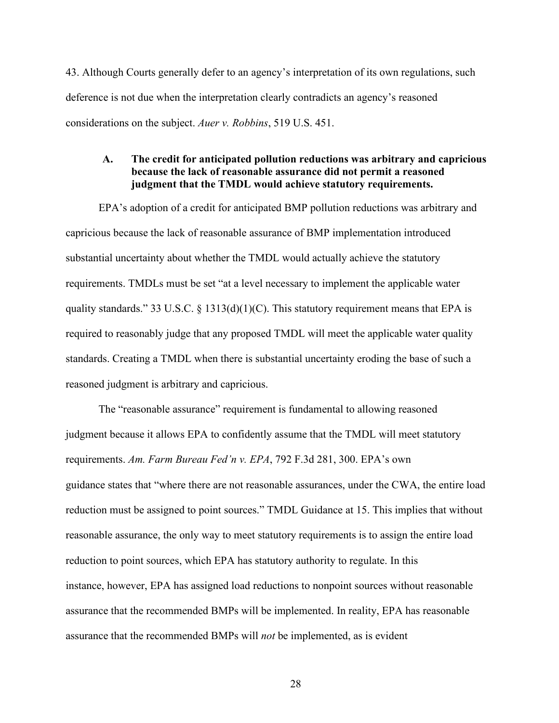43. Although Courts generally defer to an agency's interpretation of its own regulations, such deference is not due when the interpretation clearly contradicts an agency's reasoned considerations on the subject. *Auer v. Robbins*, 519 U.S. 451.

### **A. The credit for anticipated pollution reductions was arbitrary and capricious because the lack of reasonable assurance did not permit a reasoned judgment that the TMDL would achieve statutory requirements.**

EPA's adoption of a credit for anticipated BMP pollution reductions was arbitrary and capricious because the lack of reasonable assurance of BMP implementation introduced substantial uncertainty about whether the TMDL would actually achieve the statutory requirements. TMDLs must be set "at a level necessary to implement the applicable water quality standards." 33 U.S.C.  $\S$  1313(d)(1)(C). This statutory requirement means that EPA is required to reasonably judge that any proposed TMDL will meet the applicable water quality standards. Creating a TMDL when there is substantial uncertainty eroding the base of such a reasoned judgment is arbitrary and capricious.

The "reasonable assurance" requirement is fundamental to allowing reasoned judgment because it allows EPA to confidently assume that the TMDL will meet statutory requirements. *Am. Farm Bureau Fed'n v. EPA*, 792 F.3d 281, 300. EPA's own guidance states that "where there are not reasonable assurances, under the CWA, the entire load reduction must be assigned to point sources." TMDL Guidance at 15. This implies that without reasonable assurance, the only way to meet statutory requirements is to assign the entire load reduction to point sources, which EPA has statutory authority to regulate. In this instance, however, EPA has assigned load reductions to nonpoint sources without reasonable assurance that the recommended BMPs will be implemented. In reality, EPA has reasonable assurance that the recommended BMPs will *not* be implemented, as is evident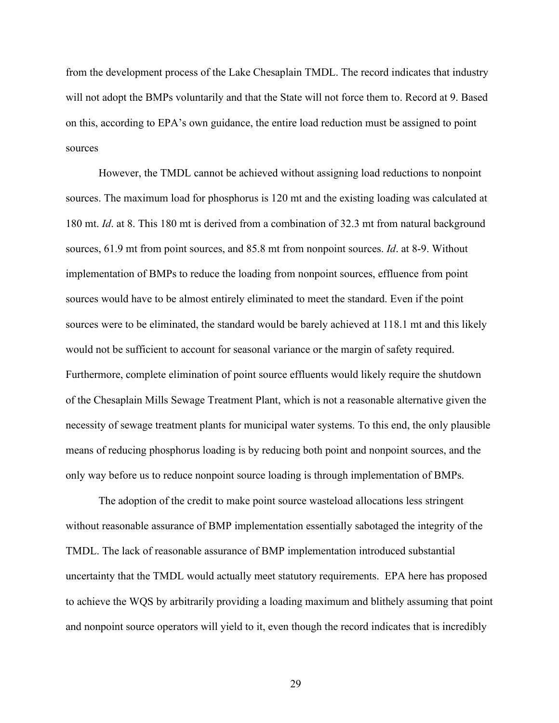from the development process of the Lake Chesaplain TMDL. The record indicates that industry will not adopt the BMPs voluntarily and that the State will not force them to. Record at 9. Based on this, according to EPA's own guidance, the entire load reduction must be assigned to point sources

However, the TMDL cannot be achieved without assigning load reductions to nonpoint sources. The maximum load for phosphorus is 120 mt and the existing loading was calculated at 180 mt. *Id*. at 8. This 180 mt is derived from a combination of 32.3 mt from natural background sources, 61.9 mt from point sources, and 85.8 mt from nonpoint sources. *Id*. at 8-9. Without implementation of BMPs to reduce the loading from nonpoint sources, effluence from point sources would have to be almost entirely eliminated to meet the standard. Even if the point sources were to be eliminated, the standard would be barely achieved at 118.1 mt and this likely would not be sufficient to account for seasonal variance or the margin of safety required. Furthermore, complete elimination of point source effluents would likely require the shutdown of the Chesaplain Mills Sewage Treatment Plant, which is not a reasonable alternative given the necessity of sewage treatment plants for municipal water systems. To this end, the only plausible means of reducing phosphorus loading is by reducing both point and nonpoint sources, and the only way before us to reduce nonpoint source loading is through implementation of BMPs.

The adoption of the credit to make point source wasteload allocations less stringent without reasonable assurance of BMP implementation essentially sabotaged the integrity of the TMDL. The lack of reasonable assurance of BMP implementation introduced substantial uncertainty that the TMDL would actually meet statutory requirements. EPA here has proposed to achieve the WQS by arbitrarily providing a loading maximum and blithely assuming that point and nonpoint source operators will yield to it, even though the record indicates that is incredibly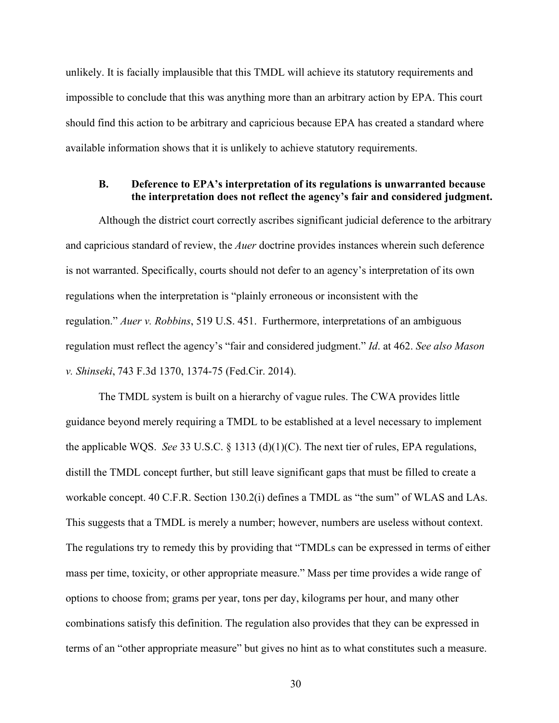unlikely. It is facially implausible that this TMDL will achieve its statutory requirements and impossible to conclude that this was anything more than an arbitrary action by EPA. This court should find this action to be arbitrary and capricious because EPA has created a standard where available information shows that it is unlikely to achieve statutory requirements.

#### **B. Deference to EPA's interpretation of its regulations is unwarranted because the interpretation does not reflect the agency's fair and considered judgment.**

Although the district court correctly ascribes significant judicial deference to the arbitrary and capricious standard of review, the *Auer* doctrine provides instances wherein such deference is not warranted. Specifically, courts should not defer to an agency's interpretation of its own regulations when the interpretation is "plainly erroneous or inconsistent with the regulation." *Auer v. Robbins*, 519 U.S. 451. Furthermore, interpretations of an ambiguous regulation must reflect the agency's "fair and considered judgment." *Id*. at 462. *See also Mason v. Shinseki*, 743 F.3d 1370, 1374-75 (Fed.Cir. 2014).

The TMDL system is built on a hierarchy of vague rules. The CWA provides little guidance beyond merely requiring a TMDL to be established at a level necessary to implement the applicable WQS. *See* 33 U.S.C. § 1313 (d)(1)(C). The next tier of rules, EPA regulations, distill the TMDL concept further, but still leave significant gaps that must be filled to create a workable concept. 40 C.F.R. Section 130.2(i) defines a TMDL as "the sum" of WLAS and LAs. This suggests that a TMDL is merely a number; however, numbers are useless without context. The regulations try to remedy this by providing that "TMDLs can be expressed in terms of either mass per time, toxicity, or other appropriate measure." Mass per time provides a wide range of options to choose from; grams per year, tons per day, kilograms per hour, and many other combinations satisfy this definition. The regulation also provides that they can be expressed in terms of an "other appropriate measure" but gives no hint as to what constitutes such a measure.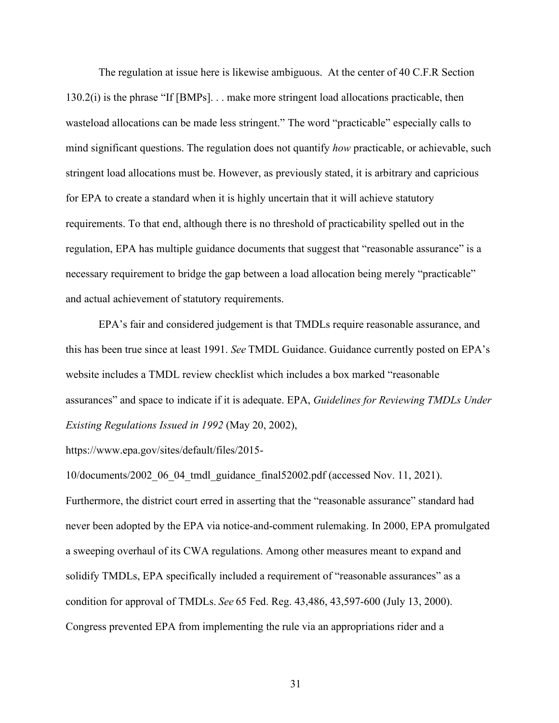The regulation at issue here is likewise ambiguous. At the center of 40 C.F.R Section 130.2(i) is the phrase "If [BMPs]. . . make more stringent load allocations practicable, then wasteload allocations can be made less stringent." The word "practicable" especially calls to mind significant questions. The regulation does not quantify *how* practicable, or achievable, such stringent load allocations must be. However, as previously stated, it is arbitrary and capricious for EPA to create a standard when it is highly uncertain that it will achieve statutory requirements. To that end, although there is no threshold of practicability spelled out in the regulation, EPA has multiple guidance documents that suggest that "reasonable assurance" is a necessary requirement to bridge the gap between a load allocation being merely "practicable" and actual achievement of statutory requirements.

EPA's fair and considered judgement is that TMDLs require reasonable assurance, and this has been true since at least 1991. *See* TMDL Guidance. Guidance currently posted on EPA's website includes a TMDL review checklist which includes a box marked "reasonable assurances" and space to indicate if it is adequate. EPA, *Guidelines for Reviewing TMDLs Under Existing Regulations Issued in 1992* (May 20, 2002),

https://www.epa.gov/sites/default/files/2015-

10/documents/2002\_06\_04\_tmdl\_guidance\_final52002.pdf (accessed Nov. 11, 2021). Furthermore, the district court erred in asserting that the "reasonable assurance" standard had never been adopted by the EPA via notice-and-comment rulemaking. In 2000, EPA promulgated a sweeping overhaul of its CWA regulations. Among other measures meant to expand and solidify TMDLs, EPA specifically included a requirement of "reasonable assurances" as a condition for approval of TMDLs. *See* 65 Fed. Reg. 43,486, 43,597-600 (July 13, 2000). Congress prevented EPA from implementing the rule via an appropriations rider and a